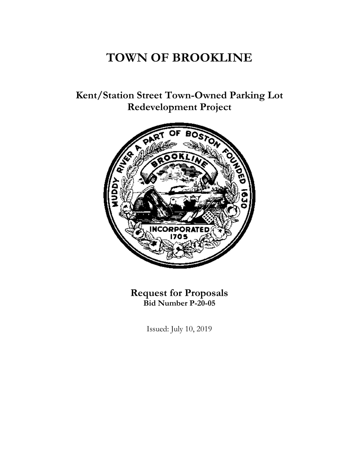# **TOWN OF BROOKLINE**

**Kent/Station Street Town-Owned Parking Lot Redevelopment Project**



**Request for Proposals Bid Number P-20-05**

Issued: July 10, 2019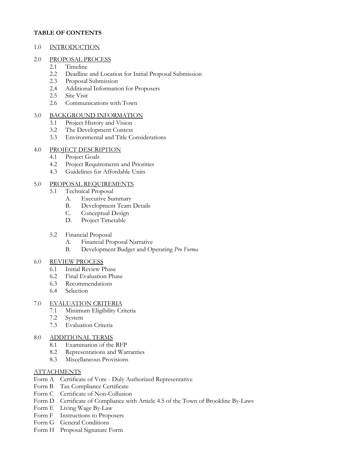#### **TABLE OF CONTENTS**

#### 1.0 INTRODUCTION

#### 2.0 PROPOSAL PROCESS

- 2.1 Timeline
- 2.2 Deadline and Location for Initial Proposal Submission
- 2.3 Proposal Submission
- 2.4 Additional Information for Proposers
- 2.5 Site Visit
- 2.6 Communications with Town

## 3.0 BACKGROUND INFORMATION

- 3.1 Project History and Vision
- 3.2 The Development Context
- 3.3 Environmental and Title Considerations

# 4.0 PROJECT DESCRIPTION

- 4.1 Project Goals
- 4.2 Project Requirements and Priorities
- 4.3 Guidelines for Affordable Units

# 5.0 PROPOSAL REQUIREMENTS

- 5.1 Technical Proposal
	- A. Executive Summary
	- B. Development Team Details<br>C. Conceptual Design
	- Conceptual Design
	- D. Project Timetable
- 5.2 Financial Proposal
	- A. Financial Proposal Narrative
	- B. Development Budget and Operating *Pro Forma*

## 6.0 REVIEW PROCESS

- 6.1 Initial Review Phase
- 6.2 Final Evaluation Phase
- 6.3 Recommendations
- 6.4 Selection

## 7.0 EVALUATION CRITERIA

- 7.1 Minimum Eligibility Criteria
- 7.2 System
- 7.3 Evaluation Criteria

## 8.0 ADDITIONAL TERMS

- 8.1 Examination of the RFP
- 8.2 Representations and Warranties
- 8.3 Miscellaneous Provisions

## **ATTACHMENTS**

- Form A Certificate of Vote Duly Authorized Representative
- Form B Tax Compliance Certificate
- Form C Certificate of Non-Collusion
- Form D Certificate of Compliance with Article 4.5 of the Town of Brookline By-Laws
- Form E Living Wage By-Law
- Form F Instructions to Proposers
- Form G General Conditions
- Form H Proposal Signature Form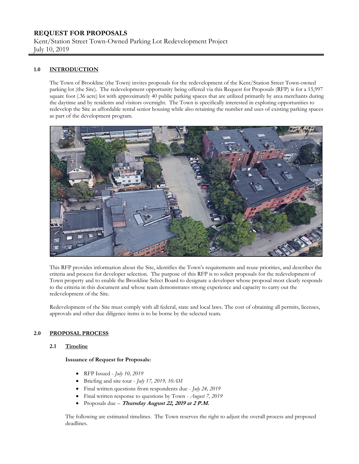# **REQUEST FOR PROPOSALS**

Kent/Station Street Town-Owned Parking Lot Redevelopment Project July 10, 2019

#### **1.0 INTRODUCTION**

The Town of Brookline (the Town) invites proposals for the redevelopment of the Kent/Station Street Town-owned parking lot (the Site). The redevelopment opportunity being offered via this Request for Proposals (RFP) is for a 15,997 square foot (.36 acre) lot with approximately 40 public parking spaces that are utilized primarily by area merchants during the daytime and by residents and visitors overnight. The Town is specifically interested in exploring opportunities to redevelop the Site as affordable rental senior housing while also retaining the number and uses of existing parking spaces as part of the development program.



This RFP provides information about the Site, identifies the Town's requirements and reuse priorities, and describes the criteria and process for developer selection. The purpose of this RFP is to solicit proposals for the redevelopment of Town property and to enable the Brookline Select Board to designate a developer whose proposal most clearly responds to the criteria in this document and whose team demonstrates strong experience and capacity to carry out the redevelopment of the Site.

Redevelopment of the Site must comply with all federal, state and local laws. The cost of obtaining all permits, licenses, approvals and other due diligence items is to be borne by the selected team.

#### **2.0 PROPOSAL PROCESS**

#### **2.1 Timeline**

#### **Issuance of Request for Proposals:**

- RFP Issued *July 10, 2019*
- Briefing and site tour *July 17, 2019, 10AM*
- Final written questions from respondents due *July 24, 2019*
- Final written response to questions by Town *August 7, 2019*
- Proposals due *–* **Thursday August 22, 2019 at 2 P.M.**

The following are estimated timelines. The Town reserves the right to adjust the overall process and proposed deadlines.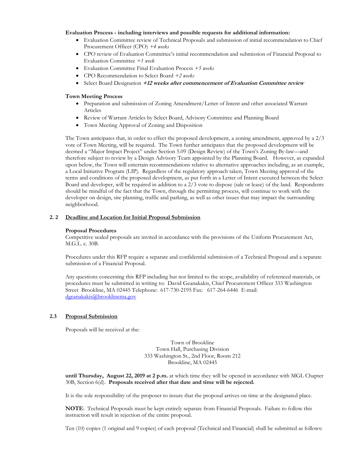#### **Evaluation Process - including interviews and possible requests for additional information:**

- Evaluation Committee review of Technical Proposals and submission of initial recommendation to Chief Procurement Officer (CPO) *+4 weeks*
- CPO review of Evaluation Committee's initial recommendation and submission of Financial Proposal to Evaluation Committee *+1 week*
- Evaluation Committee Final Evaluation Process *+5 weeks*
- CPO Recommendation to Select Board *+2 weeks*
- Select Board Designation **+12 weeks after commencement of Evaluation Committee review**

#### **Town Meeting Process**

- Preparation and submission of Zoning Amendment/Letter of Intent and other associated Warrant Articles
- Review of Warrant Articles by Select Board, Advisory Committee and Planning Board
- Town Meeting Approval of Zoning and Disposition

The Town anticipates that, in order to effect the proposed development, a zoning amendment, approved by a 2/3 vote of Town Meeting, will be required. The Town further anticipates that the proposed development will be deemed a "Major Impact Project" under Section 5.09 (Design Review) of the Town's Zoning By-law—and therefore subject to review by a Design Advisory Team appointed by the Planning Board. However, as expanded upon below, the Town will entertain recommendations relative to alternative approaches including, as an example, a Local Initiative Program (LIP). Regardless of the regulatory approach taken, Town Meeting approval of the terms and conditions of the proposed development, as put forth in a Letter of Intent executed between the Select Board and developer, will be required in addition to a 2/3 vote to dispose (sale or lease) of the land. Respondents should be mindful of the fact that the Town, through the permitting process, will continue to work with the developer on design, site planning, traffic and parking, as well as other issues that may impact the surrounding neighborhood.

#### **2. 2 Deadline and Location for Initial Proposal Submission**

#### **Proposal Procedures**

Competitive sealed proposals are invited in accordance with the provisions of the Uniform Procurement Act, M.G.L. c. 30B.

Procedures under this RFP require a separate and confidential submission of a Technical Proposal and a separate submission of a Financial Proposal.

Any questions concerning this RFP including but not limited to the scope, availability of referenced materials, or procedures must be submitted in writing to: David Geanakakis, Chief Procurement Officer 333 Washington Street Brookline, MA 02445 Telephone: 617-730-2195 Fax: 617-264-6446 E-mail: [dgeanakakis@brooklinema.gov](mailto:dgeanakakis@brooklinema.gov)

#### **2.3 Proposal Submission**

Proposals will be received at the:

Town of Brookline Town Hall, Purchasing Division 333 Washington St., 2nd Floor, Room 212 Brookline, MA 02445

**until Thursday, August 22, 2019 at 2 p.m.** at which time they will be opened in accordance with MGL Chapter 30B, Section 6(d). **Proposals received after that date and time will be rejected.**

It is the sole responsibility of the proposer to insure that the proposal arrives on time at the designated place.

**NOTE**: Technical Proposals must be kept entirely separate from Financial Proposals. Failure to follow this instruction will result in rejection of the entire proposal.

Ten (10) copies (1 original and 9 copies) of each proposal (Technical and Financial) shall be submitted as follows: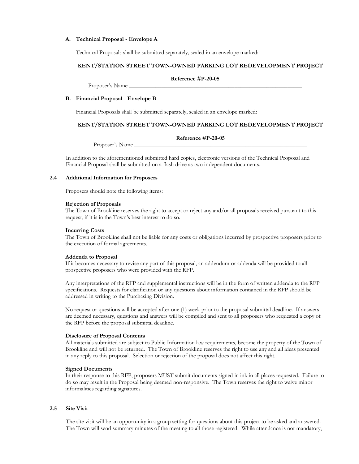#### **A. Technical Proposal - Envelope A**

Technical Proposals shall be submitted separately, sealed in an envelope marked:

#### **KENT/STATION STREET TOWN-OWNED PARKING LOT REDEVELOPMENT PROJECT**

**Reference #P-20-05**

#### **B. Financial Proposal - Envelope B**

Proposer's Name

Financial Proposals shall be submitted separately, sealed in an envelope marked:

#### **KENT/STATION STREET TOWN-OWNED PARKING LOT REDEVELOPMENT PROJECT**

**Reference #P-20-05**

Proposer's Name

In addition to the aforementioned submitted hard copies, electronic versions of the Technical Proposal and Financial Proposal shall be submitted on a flash drive as two independent documents.

#### **2.4 Additional Information for Proposers**

Proposers should note the following items:

#### **Rejection of Proposals**

The Town of Brookline reserves the right to accept or reject any and/or all proposals received pursuant to this request, if it is in the Town's best interest to do so.

#### **Incurring Costs**

The Town of Brookline shall not be liable for any costs or obligations incurred by prospective proposers prior to the execution of formal agreements.

#### **Addenda to Proposal**

If it becomes necessary to revise any part of this proposal, an addendum or addenda will be provided to all prospective proposers who were provided with the RFP.

Any interpretations of the RFP and supplemental instructions will be in the form of written addenda to the RFP specifications. Requests for clarification or any questions about information contained in the RFP should be addressed in writing to the Purchasing Division.

No request or questions will be accepted after one (1) week prior to the proposal submittal deadline. If answers are deemed necessary, questions and answers will be compiled and sent to all proposers who requested a copy of the RFP before the proposal submittal deadline.

#### **Disclosure of Proposal Contents**

All materials submitted are subject to Public Information law requirements, become the property of the Town of Brookline and will not be returned. The Town of Brookline reserves the right to use any and all ideas presented in any reply to this proposal. Selection or rejection of the proposal does not affect this right.

#### **Signed Documents**

In their response to this RFP, proposers MUST submit documents signed in ink in all places requested. Failure to do so may result in the Proposal being deemed non-responsive. The Town reserves the right to waive minor informalities regarding signatures.

#### **2.5 Site Visit**

The site visit will be an opportunity in a group setting for questions about this project to be asked and answered. The Town will send summary minutes of the meeting to all those registered. While attendance is not mandatory,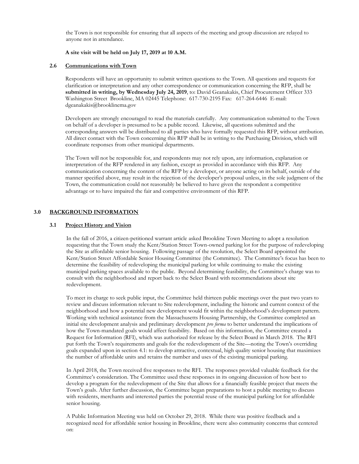the Town is not responsible for ensuring that all aspects of the meeting and group discussion are relayed to anyone not in attendance.

#### **A site visit will be held on July 17, 2019 at 10 A.M.**

#### **2.6 Communications with Town**

Respondents will have an opportunity to submit written questions to the Town. All questions and requests for clarification or interpretation and any other correspondence or communication concerning the RFP, shall be **submitted in writing, by Wednesday July 24, 2019**, to: David Geanakakis, Chief Procurement Officer 333 Washington Street Brookline, MA 02445 Telephone: 617-730-2195 Fax: 617-264-6446 E-mail: dgeanakakis@brooklinema.gov

Developers are strongly encouraged to read the materials carefully. Any communication submitted to the Town on behalf of a developer is presumed to be a public record. Likewise, all questions submitted and the corresponding answers will be distributed to all parties who have formally requested this RFP, without attribution. All direct contact with the Town concerning this RFP shall be in writing to the Purchasing Division, which will coordinate responses from other municipal departments.

The Town will not be responsible for, and respondents may not rely upon, any information, explanation or interpretation of the RFP rendered in any fashion, except as provided in accordance with this RFP. Any communication concerning the content of the RFP by a developer, or anyone acting on its behalf, outside of the manner specified above, may result in the rejection of the developer's proposal unless, in the sole judgment of the Town, the communication could not reasonably be believed to have given the respondent a competitive advantage or to have impaired the fair and competitive environment of this RFP.

#### **3.0 BACKGROUND INFORMATION**

#### **3.1 Project History and Vision**

In the fall of 2016, a citizen-petitioned warrant article asked Brookline Town Meeting to adopt a resolution requesting that the Town study the Kent/Station Street Town-owned parking lot for the purpose of redeveloping the Site as affordable senior housing. Following passage of the resolution, the Select Board appointed the Kent/Station Street Affordable Senior Housing Committee (the Committee). The Committee's focus has been to determine the feasibility of redeveloping the municipal parking lot while continuing to make the existing municipal parking spaces available to the public. Beyond determining feasibility, the Committee's charge was to consult with the neighborhood and report back to the Select Board with recommendations about site redevelopment.

To meet its charge to seek public input, the Committee held thirteen public meetings over the past two years to review and discuss information relevant to Site redevelopment, including the historic and current context of the neighborhood and how a potential new development would fit within the neighborhood's development pattern. Working with technical assistance from the Massachusetts Housing Partnership, the Committee completed an initial site development analysis and preliminary development *pro forma* to better understand the implications of how the Town-mandated goals would affect feasibility. Based on this information, the Committee created a Request for Information (RFI), which was authorized for release by the Select Board in March 2018. The RFI put forth the Town's requirements and goals for the redevelopment of the Site—noting the Town's overriding goals expanded upon in section 4.1: to develop attractive, contextual, high quality senior housing that maximizes the number of affordable units and retains the number and uses of the existing municipal parking.

In April 2018, the Town received five responses to the RFI. The responses provided valuable feedback for the Committee's consideration. The Committee used these responses in its ongoing discussion of how best to develop a program for the redevelopment of the Site that allows for a financially feasible project that meets the Town's goals. After further discussion, the Committee began preparations to host a public meeting to discuss with residents, merchants and interested parties the potential reuse of the municipal parking lot for affordable senior housing.

A Public Information Meeting was held on October 29, 2018. While there was positive feedback and a recognized need for affordable senior housing in Brookline, there were also community concerns that centered on: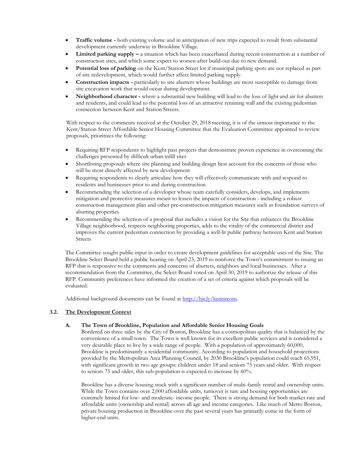- **Traffic volume -** both existing volume and in anticipation of new trips expected to result from substantial development currently underway in Brookline Village.
- **Limited parking supply –** a situation which has been exacerbated during recent construction at a number of construction sites, and which some expect to worsen after build-out due to new demand.
- **Potential loss of parking** on the Kent/Station Street lot if municipal parking spots are not replaced as part of site redevelopment, which would further affect limited parking supply.
- **Construction impacts -** particularly to site abutters whose buildings are most susceptible to damage from site excavation work that would occur during development.
- **Neighborhood character -** where a substantial new building will lead to the loss of light and air for abutters and residents, and could lead to the potential loss of an attractive retaining wall and the existing pedestrian connection between Kent and Station Streets.

With respect to the comments received at the October 29, 2018 meeting, it is of the utmost importance to the Kent/Station Street Affordable Senior Housing Committee that the Evaluation Committee appointed to review proposals, prioritizes the following:

- Requiring RFP respondents to highlight past projects that demonstrate proven experience in overcoming the challenges presented by difficult urban infill sites
- Shortlisting proposals where site planning and building design best account for the concerns of those who will be most directly affected by new development
- Requiring respondents to clearly articulate how they will effectively communicate with and respond to residents and businesses prior to and during construction
- Recommending the selection of a developer whose team carefully considers, develops, and implements mitigation and protective measures meant to lessen the impacts of construction - including a robust construction management plan and other pre-construction mitigation measures such as foundation surveys of abutting properties
- Recommending the selection of a proposal that includes a vision for the Site that enhances the Brookline Village neighborhood, respects neighboring properties, adds to the vitality of the commercial district and improves the current pedestrian connection by providing a well-lit public pathway between Kent and Station Streets

The Committee sought public input in order to create development guidelines for acceptable uses of the Site. The Brookline Select Board held a public hearing on April 23, 2019 to reinforce the Town's commitment to issuing an RFP that is responsive to the comments and concerns of abutters, neighbors and local businesses. After a recommendation from the Committee, the Select Board voted on April 30, 2019 to authorize the release of this RFP. Community preferences have informed the creation of a set of criteria against which proposals will be evaluated.

Additional background documents can be found at [http://bit.ly/kentstcom.](http://bit.ly/kentstcom)

#### **3.2. The Development Context**

#### **A. The Town of Brookline, Population and Affordable Senior Housing Goals**

Bordered on three sides by the City of Boston, Brookline has a cosmopolitan quality that is balanced by the convenience of a small town. The Town is well known for its excellent public services and is considered a very desirable place to live by a wide range of people. With a population of approximately 60,000, Brookline is predominantly a residential community. According to population and household projections provided by the Metropolitan Area Planning Council, by 2030 Brookline's population could reach 65,951, with significant growth in two age groups: children under 18 and seniors 75 years and older. With respect to seniors 75 and older, this sub-population is expected to increase by 60%.

Brookline has a diverse housing stock with a significant number of multi-family rental and ownership units. While the Town contains over 2,000 affordable units, turnover is rare and housing opportunities are extremely limited for low- and moderate- income people. There is strong demand for both market rate and affordable units (ownership and rental) across all age and income categories. Like much of Metro Boston, private housing production in Brookline over the past several years has primarily come in the form of higher-end units.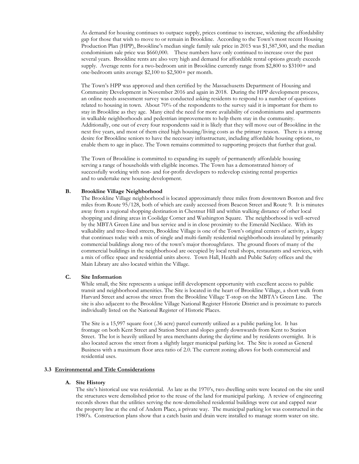As demand for housing continues to outpace supply, prices continue to increase, widening the affordability gap for those that wish to move to or remain in Brookline. According to the Town's most recent Housing Production Plan (HPP), Brookline's median single family sale price in 2015 was \$1,587,500, and the median condominium sale price was \$660,000. These numbers have only continued to increase over the past several years. Brookline rents are also very high and demand for affordable rental options greatly exceeds supply. Average rents for a two-bedroom unit in Brookline currently range from \$2,800 to \$3100+ and one-bedroom units average \$2,100 to \$2,500+ per month.

The Town's HPP was approved and then certified by the Massachusetts Department of Housing and Community Development in November 2016 and again in 2018. During the HPP development process, an online needs assessment survey was conducted asking residents to respond to a number of questions related to housing in town. About 70% of the respondents to the survey said it is important for them to stay in Brookline as they age. Many cited the need for more availability of condominiums and apartments in walkable neighborhoods and pedestrian improvements to help them stay in the community. Additionally, one out of every four respondents said it is likely that they will move out of Brookline in the next five years, and most of them cited high housing/living costs as the primary reason. There is a strong desire for Brookline seniors to have the necessary infrastructure, including affordable housing options, to enable them to age in place. The Town remains committed to supporting projects that further that goal.

The Town of Brookline is committed to expanding its supply of permanently affordable housing serving a range of households with eligible incomes. The Town has a demonstrated history of successfully working with non- and for-profit developers to redevelop existing rental properties and to undertake new housing development.

#### **B. Brookline Village Neighborhood**

The Brookline Village neighborhood is located approximately three miles from downtown Boston and five miles from Route 95/128, both of which are easily accessed from Beacon Street and Route 9. It is minutes away from a regional shopping destination in Chestnut Hill and within walking distance of other local shopping and dining areas in Coolidge Corner and Washington Square. The neighborhood is well-served by the MBTA Green Line and bus service and is in close proximity to the Emerald Necklace. With its walkability and tree-lined streets, Brookline Village is one of the Town's original centers of activity, a legacy that continues today with a mix of single and multi-family residential neighborhoods insulated by primarily commercial buildings along two of the town's major thoroughfares. The ground floors of many of the commercial buildings in the neighborhood are occupied by local retail shops, restaurants and services, with a mix of office space and residential units above. Town Hall, Health and Public Safety offices and the Main Library are also located within the Village.

#### **C. Site Information**

While small, the Site represents a unique infill development opportunity with excellent access to public transit and neighborhood amenities. The Site is located in the heart of Brookline Village, a short walk from Harvard Street and across the street from the Brookline Village T-stop on the MBTA's Green Line. The site is also adjacent to the Brookline Village National Register Historic District and is proximate to parcels individually listed on the National Register of Historic Places.

The Site is a 15,997 square foot (.36 acre) parcel currently utilized as a public parking lot. It has frontage on both Kent Street and Station Street and slopes gently downwards from Kent to Station Street. The lot is heavily utilized by area merchants during the daytime and by residents overnight. It is also located across the street from a slightly larger municipal parking lot. The Site is zoned as General Business with a maximum floor area ratio of 2.0. The current zoning allows for both commercial and residential uses.

#### **3.3 Environmental and Title Considerations**

#### **A. Site History**

The site's historical use was residential. As late as the 1970's, two dwelling units were located on the site until the structures were demolished prior to the reuse of the land for municipal parking. A review of engineering records shows that the utilities serving the now-demolished residential buildings were cut and capped near the property line at the end of Andem Place, a private way. The municipal parking lot was constructed in the 1980's. Construction plans show that a catch basin and drain were installed to manage storm water on site.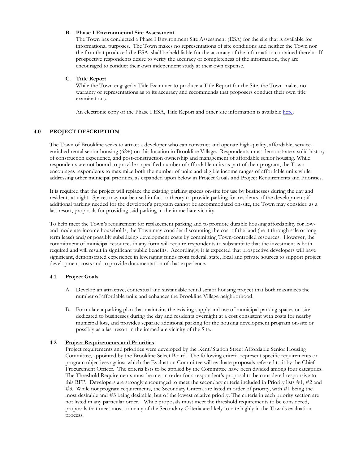#### **B. Phase I Environmental Site Assessment**

The Town has conducted a Phase I Environment Site Assessment (ESA) for the site that is available for informational purposes. The Town makes no representations of site conditions and neither the Town nor the firm that produced the ESA, shall be held liable for the accuracy of the information contained therein. If prospective respondents desire to verify the accuracy or completeness of the information, they are encouraged to conduct their own independent study at their own expense.

#### **C. Title Report**

While the Town engaged a Title Examiner to produce a Title Report for the Site, the Town makes no warranty or representations as to its accuracy and recommends that proposers conduct their own title examinations.

An electronic copy of the Phase I ESA, Title Report and other site information is available [here.](https://www.dropbox.com/s/lmf4onco3jvhq29/Brookline_Kent_St_ESA_Plans_Survey.pdf?dl=0)

#### **4.0 PROJECT DESCRIPTION**

The Town of Brookline seeks to attract a developer who can construct and operate high-quality, affordable, serviceenriched rental senior housing (62+) on this location in Brookline Village. Respondents must demonstrate a solid history of construction experience, and post-construction ownership and management of affordable senior housing. While respondents are not bound to provide a specified number of affordable units as part of their program, the Town encourages respondents to maximize both the number of units and eligible income ranges of affordable units while addressing other municipal priorities, as expanded upon below in Project Goals and Project Requirements and Priorities.

It is required that the project will replace the existing parking spaces on-site for use by businesses during the day and residents at night. Spaces may not be used in fact or theory to provide parking for residents of the development; if additional parking needed for the developer's program cannot be accommodated on-site, the Town may consider, as a last resort, proposals for providing said parking in the immediate vicinity.

To help meet the Town's requirement for replacement parking and to promote durable housing affordability for lowand moderate-income households, the Town may consider discounting the cost of the land (be it through sale or longterm lease) and/or possibly subsidizing development costs by committing Town-controlled resources. However, the commitment of municipal resources in any form will require respondents to substantiate that the investment is both required and will result in significant public benefits. Accordingly, it is expected that prospective developers will have significant, demonstrated experience in leveraging funds from federal, state, local and private sources to support project development costs and to provide documentation of that experience.

#### **4.1 Project Goals**

- A. Develop an attractive, contextual and sustainable rental senior housing project that both maximizes the number of affordable units and enhances the Brookline Village neighborhood.
- B. Formulate a parking plan that maintains the existing supply and use of municipal parking spaces on-site dedicated to businesses during the day and residents overnight at a cost consistent with costs for nearby municipal lots, and provides separate additional parking for the housing development program on-site or possibly as a last resort in the immediate vicinity of the Site.

#### **4.2 Project Requirements and Priorities**

Project requirements and priorities were developed by the Kent/Station Street Affordable Senior Housing Committee, appointed by the Brookline Select Board. The following criteria represent specific requirements or program objectives against which the Evaluation Committee will evaluate proposals referred to it by the Chief Procurement Officer. The criteria lists to be applied by the Committee have been divided among four categories. The Threshold Requirements must be met in order for a respondent's proposal to be considered responsive to this RFP. Developers are strongly encouraged to meet the secondary criteria included in Priority lists #1, #2 and #3. While not program requirements, the Secondary Criteria are listed in order of priority, with #1 being the most desirable and #3 being desirable, but of the lowest relative priority. The criteria in each priority section are not listed in any particular order. While proposals must meet the threshold requirements to be considered, proposals that meet most or many of the Secondary Criteria are likely to rate highly in the Town's evaluation process.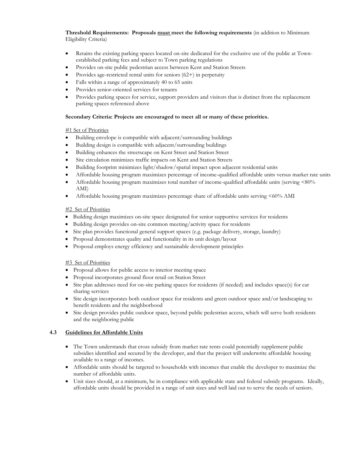**Threshold Requirements: Proposals must meet the following requirements** (in addition to Minimum Eligibility Criteria)

- Retains the existing parking spaces located on-site dedicated for the exclusive use of the public at Townestablished parking fees and subject to Town parking regulations
- Provides on-site public pedestrian access between Kent and Station Streets
- Provides age-restricted rental units for seniors (62+) in perpetuity
- Falls within a range of approximately 40 to 65 units
- Provides senior-oriented services for tenants
- Provides parking spaces for service, support providers and visitors that is distinct from the replacement parking spaces referenced above

#### **Secondary Criteria: Projects are encouraged to meet all or many of these priorities.**

#### #1 Set of Priorities

- Building envelope is compatible with adjacent/surrounding buildings
- Building design is compatible with adjacent/surrounding buildings
- Building enhances the streetscape on Kent Street and Station Street
- Site circulation minimizes traffic impacts on Kent and Station Streets
- Building footprint minimizes light/shadow/spatial impact upon adjacent residential units
- Affordable housing program maximizes percentage of income-qualified affordable units versus market rate units
- Affordable housing program maximizes total number of income-qualified affordable units (serving <80% AMI)
- Affordable housing program maximizes percentage share of affordable units serving <60% AMI

#### #2 Set of Priorities

- Building design maximizes on-site space designated for senior supportive services for residents
- Building design provides on-site common meeting/activity space for residents
- Site plan provides functional general support spaces (e.g. package delivery, storage, laundry)
- Proposal demonstrates quality and functionality in its unit design/layout
- Proposal employs energy efficiency and sustainable development principles

#### #3 Set of Priorities

- Proposal allows for public access to interior meeting space
- Proposal incorporates ground floor retail on Station Street
- Site plan addresses need for on-site parking spaces for residents (if needed) and includes space(s) for car sharing services
- Site design incorporates both outdoor space for residents and green outdoor space and/or landscaping to benefit residents and the neighborhood
- Site design provides public outdoor space, beyond public pedestrian access, which will serve both residents and the neighboring public

#### **4.3 Guidelines for Affordable Units**

- The Town understands that cross subsidy from market rate rents could potentially supplement public subsidies identified and secured by the developer, and that the project will underwrite affordable housing available to a range of incomes.
- Affordable units should be targeted to households with incomes that enable the developer to maximize the number of affordable units.
- Unit sizes should, at a minimum, be in compliance with applicable state and federal subsidy programs. Ideally, affordable units should be provided in a range of unit sizes and well laid out to serve the needs of seniors.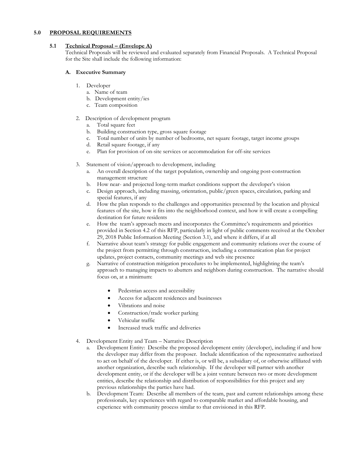#### **5.0 PROPOSAL REQUIREMENTS**

#### **5.1 Technical Proposal – (Envelope A)**

Technical Proposals will be reviewed and evaluated separately from Financial Proposals. A Technical Proposal for the Site shall include the following information:

#### **A. Executive Summary**

- 1. Developer
	- a. Name of team
	- b. Development entity/ies
	- c. Team composition

#### 2. Description of development program

- a. Total square feet
- b. Building construction type, gross square footage
- c. Total number of units by number of bedrooms, net square footage, target income groups
- d. Retail square footage, if any
- e. Plan for provision of on-site services or accommodation for off-site services
- 3. Statement of vision/approach to development, including
	- a. An overall description of the target population, ownership and ongoing post-construction management structure
	- b. How near- and projected long-term market conditions support the developer's vision
	- Design approach, including massing, orientation, public/green spaces, circulation, parking and special features, if any
	- d. How the plan responds to the challenges and opportunities presented by the location and physical features of the site, how it fits into the neighborhood context, and how it will create a compelling destination for future residents
	- e. How the team's approach meets and incorporates the Committee's requirements and priorities provided in Section 4.2 of this RFP, particularly in light of public comments received at the October 29, 2018 Public Information Meeting (Section 3.1), and where it differs, if at all
	- f. Narrative about team's strategy for public engagement and community relations over the course of the project from permitting through construction, including a communication plan for project updates, project contacts, community meetings and web site presence
	- Narrative of construction mitigation procedures to be implemented, highlighting the team's approach to managing impacts to abutters and neighbors during construction. The narrative should focus on, at a minimum:
		- Pedestrian access and accessibility
		- Access for adjacent residences and businesses
		- Vibrations and noise
		- Construction/trade worker parking
		- Vehicular traffic
		- Increased truck traffic and deliveries
- 4. Development Entity and Team Narrative Description
	- a. Development Entity: Describe the proposed development entity (developer), including if and how the developer may differ from the proposer. Include identification of the representative authorized to act on behalf of the developer. If either is, or will be, a subsidiary of, or otherwise affiliated with another organization, describe such relationship. If the developer will partner with another development entity, or if the developer will be a joint venture between two or more development entities, describe the relationship and distribution of responsibilities for this project and any previous relationships the parties have had.
	- b. Development Team: Describe all members of the team, past and current relationships among these professionals, key experiences with regard to comparable market and affordable housing, and experience with community process similar to that envisioned in this RFP.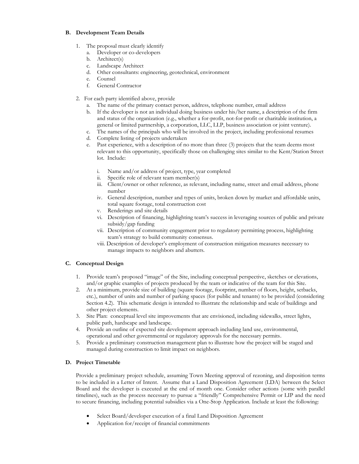#### **B. Development Team Details**

- 1. The proposal must clearly identify
	- a. Developer or co-developers
	- b. Architect(s)
	- c. Landscape Architect
	- d. Other consultants: engineering, geotechnical, environment
	- e. Counsel
	- f. General Contractor
- 2. For each party identified above, provide
	- a. The name of the primary contact person, address, telephone number, email address
	- b. If the developer is not an individual doing business under his/her name, a description of the firm and status of the organization (e.g., whether a for-profit, not-for-profit or charitable institution, a general or limited partnership, a corporation, LLC, LLP, business association or joint venture).
	- c. The names of the principals who will be involved in the project, including professional resumes
	- d. Complete listing of projects undertaken
	- e. Past experience, with a description of no more than three (3) projects that the team deems most relevant to this opportunity, specifically those on challenging sites similar to the Kent/Station Street lot. Include:
		- i. Name and/or address of project, type, year completed
		- ii. Specific role of relevant team member(s)
		- iii. Client/owner or other reference, as relevant, including name, street and email address, phone number
		- iv. General description, number and types of units, broken down by market and affordable units, total square footage, total construction cost
		- v. Renderings and site details
		- vi. Description of financing, highlighting team's success in leveraging sources of public and private subsidy/gap funding
		- vii. Description of community engagement prior to regulatory permitting process, highlighting team's strategy to build community consensus.
		- viii. Description of developer's employment of construction mitigation measures necessary to manage impacts to neighbors and abutters.

#### **C. Conceptual Design**

- 1. Provide team's proposed "image" of the Site, including conceptual perspective, sketches or elevations, and/or graphic examples of projects produced by the team or indicative of the team for this Site.
- 2. At a minimum, provide size of building (square footage, footprint, number of floors, height, setbacks, etc.), number of units and number of parking spaces (for public and tenants) to be provided (considering Section 4.2). This schematic design is intended to illustrate the relationship and scale of buildings and other project elements.
- 3. Site Plan: conceptual level site improvements that are envisioned, including sidewalks, street lights, public path, hardscape and landscape.
- 4. Provide an outline of expected site development approach including land use, environmental, operational and other governmental or regulatory approvals for the necessary permits.
- 5. Provide a preliminary construction management plan to illustrate how the project will be staged and managed during construction to limit impact on neighbors.

#### **D. Project Timetable**

Provide a preliminary project schedule, assuming Town Meeting approval of rezoning, and disposition terms to be included in a Letter of Intent. Assume that a Land Disposition Agreement (LDA) between the Select Board and the developer is executed at the end of month one. Consider other actions (some with parallel timelines), such as the process necessary to pursue a "friendly" Comprehensive Permit or LIP and the need to secure financing, including potential subsidies via a One-Stop Application. Include at least the following:

- Select Board/developer execution of a final Land Disposition Agreement
- Application for/receipt of financial commitments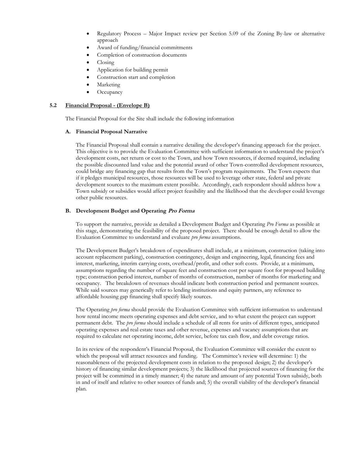- Regulatory Process Major Impact review per Section 5.09 of the Zoning By-law or alternative approach
- Award of funding/financial commitments
- Completion of construction documents
- Closing
- Application for building permit
- Construction start and completion
- Marketing
- **Occupancy**

#### **5.2 Financial Proposal - (Envelope B)**

The Financial Proposal for the Site shall include the following information

#### **A. Financial Proposal Narrative**

The Financial Proposal shall contain a narrative detailing the developer's financing approach for the project. This objective is to provide the Evaluation Committee with sufficient information to understand the project's development costs, net return or cost to the Town, and how Town resources, if deemed required, including the possible discounted land value and the potential award of other Town-controlled development resources, could bridge any financing gap that results from the Town's program requirements. The Town expects that if it pledges municipal resources, those resources will be used to leverage other state, federal and private development sources to the maximum extent possible. Accordingly, each respondent should address how a Town subsidy or subsidies would affect project feasibility and the likelihood that the developer could leverage other public resources.

#### **B. Development Budget and Operating Pro Forma**

To support the narrative, provide as detailed a Development Budget and Operating *Pro Forma* as possible at this stage, demonstrating the feasibility of the proposed project. There should be enough detail to allow the Evaluation Committee to understand and evaluate *pro forma* assumptions.

The Development Budget's breakdown of expenditures shall include, at a minimum, construction (taking into account replacement parking), construction contingency, design and engineering, legal, financing fees and interest, marketing, interim carrying costs, overhead/profit, and other soft costs. Provide, at a minimum, assumptions regarding the number of square feet and construction cost per square foot for proposed building type; construction period interest, number of months of construction, number of months for marketing and occupancy. The breakdown of revenues should indicate both construction period and permanent sources. While said sources may generically refer to lending institutions and equity partners, any reference to affordable housing gap financing shall specify likely sources.

The Operating *pro forma* should provide the Evaluation Committee with sufficient information to understand how rental income meets operating expenses and debt service, and to what extent the project can support permanent debt. The *pro forma* should include a schedule of all rents for units of different types, anticipated operating expenses and real estate taxes and other revenue, expenses and vacancy assumptions that are required to calculate net operating income, debt service, before tax cash flow, and debt coverage ratios.

In its review of the respondent's Financial Proposal, the Evaluation Committee will consider the extent to which the proposal will attract resources and funding. The Committee's review will determine: 1) the reasonableness of the projected development costs in relation to the proposed design; 2) the developer's history of financing similar development projects; 3) the likelihood that projected sources of financing for the project will be committed in a timely manner; 4) the nature and amount of any potential Town subsidy, both in and of itself and relative to other sources of funds and; 5) the overall viability of the developer's financial plan.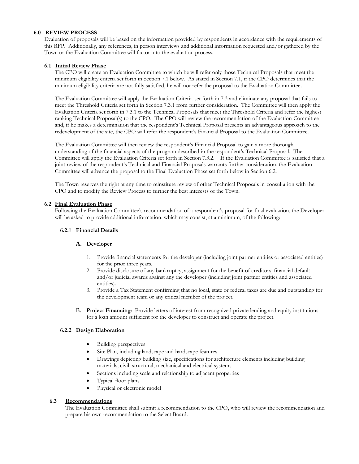#### **6.0 REVIEW PROCESS**

Evaluation of proposals will be based on the information provided by respondents in accordance with the requirements of this RFP. Additionally, any references, in person interviews and additional information requested and/or gathered by the Town or the Evaluation Committee will factor into the evaluation process.

#### **6.1 Initial Review Phase**

The CPO will create an Evaluation Committee to which he will refer only those Technical Proposals that meet the minimum eligibility criteria set forth in Section 7.1 below. As stated in Section 7.1, if the CPO determines that the minimum eligibility criteria are not fully satisfied, he will not refer the proposal to the Evaluation Committee.

The Evaluation Committee will apply the Evaluation Criteria set forth in 7.3 and eliminate any proposal that fails to meet the Threshold Criteria set forth in Section 7.3.1 from further consideration. The Committee will then apply the Evaluation Criteria set forth in 7.3.1 to the Technical Proposals that meet the Threshold Criteria and refer the highest ranking Technical Proposal(s) to the CPO. The CPO will review the recommendation of the Evaluation Committee and, if he makes a determination that the respondent's Technical Proposal presents an advantageous approach to the redevelopment of the site, the CPO will refer the respondent's Financial Proposal to the Evaluation Committee.

The Evaluation Committee will then review the respondent's Financial Proposal to gain a more thorough understanding of the financial aspects of the program described in the respondent's Technical Proposal. The Committee will apply the Evaluation Criteria set forth in Section 7.3.2. If the Evaluation Committee is satisfied that a joint review of the respondent's Technical and Financial Proposals warrants further consideration, the Evaluation Committee will advance the proposal to the Final Evaluation Phase set forth below in Section 6.2.

The Town reserves the right at any time to reinstitute review of other Technical Proposals in consultation with the CPO and to modify the Review Process to further the best interests of the Town.

#### **6.2 Final Evaluation Phase**

Following the Evaluation Committee's recommendation of a respondent's proposal for final evaluation, the Developer will be asked to provide additional information, which may consist, at a minimum, of the following:

#### **6.2.1 Financial Details**

#### **A. Developer**

- 1. Provide financial statements for the developer (including joint partner entities or associated entities) for the prior three years.
- 2. Provide disclosure of any bankruptcy, assignment for the benefit of creditors, financial default and/or judicial awards against any the developer (including joint partner entities and associated entities).
- 3. Provide a Tax Statement confirming that no local, state or federal taxes are due and outstanding for the development team or any critical member of the project.
- B. **Project Financing**: Provide letters of interest from recognized private lending and equity institutions for a loan amount sufficient for the developer to construct and operate the project.

#### **6.2.2 Design Elaboration**

- Building perspectives
- Site Plan, including landscape and hardscape features
- Drawings depicting building size, specifications for architecture elements including building materials, civil, structural, mechanical and electrical systems
- Sections including scale and relationship to adjacent properties
- Typical floor plans
- Physical or electronic model

#### **6.3 Recommendations**

The Evaluation Committee shall submit a recommendation to the CPO, who will review the recommendation and prepare his own recommendation to the Select Board.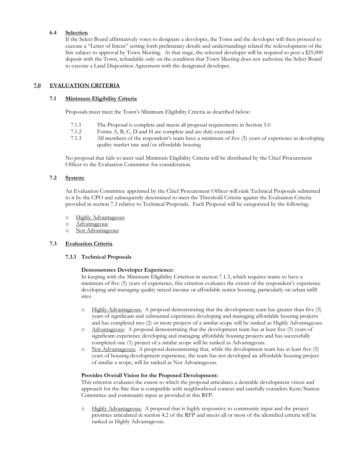#### **6.4 Selection**

If the Select Board affirmatively votes to designate a developer, the Town and the developer will then proceed to execute a "Letter of Intent" setting forth preliminary details and understandings related the redevelopment of the Site subject to approval by Town Meeting. At that stage, the selected developer will be required to post a \$25,000 deposit with the Town, refundable only on the condition that Town Meeting does not authorize the Select Board to execute a Land Disposition Agreement with the designated developer.

#### **7.0 EVALUATION CRITERIA**

#### **7.1 Minimum Eligibility Criteria**

Proposals must meet the Town's Minimum Eligibility Criteria as described below:

- 7.1.1 The Proposal is complete and meets all proposal requirements in Section 5.0
- 7.1.2 Forms A, B, C, D and H are complete and are duly executed
- 7.1.3 All members of the respondent's team have a minimum of five (5) years of experience in developing quality market rate and/or affordable housing

No proposal that fails to meet said Minimum Eligibility Criteria will be distributed by the Chief Procurement Officer to the Evaluation Committee for consideration.

#### **7.2 System:**

An Evaluation Committee appointed by the Chief Procurement Officer will rank Technical Proposals submitted to it by the CPO and subsequently determined to meet the Threshold Criteria against the Evaluation Criteria provided in section 7.3 relative to Technical Proposals. Each Proposal will be categorized by the following:

- o Highly Advantageous
- o Advantageous
- o Not Advantageous

#### **7.3 Evaluation Criteria**

#### **7.3.1 Technical Proposals**

#### **Demonstrates Developer Experience:**

In keeping with the Minimum Eligibility Criterion in section 7.1.3, which requires teams to have a minimum of five (5) years of experience, this criterion evaluates the extent of the respondent's experience developing and managing quality mixed-income or affordable senior housing, particularly on urban infill sites.

- o Highly Advantageous: A proposal demonstrating that the development team has greater than five (5) years of significant and substantial experience developing and managing affordable housing projects and has completed two (2) or more projects of a similar scope will be ranked as Highly Advantageous.
- o Advantageous: A proposal demonstrating that the development team has at least five (5) years of significant experience developing and managing affordable housing projects and has successfully completed one (1) project of a similar scope will be ranked as Advantageous.
- o Not Advantageous: A proposal demonstrating that, while the development team has at least five (5) years of housing development experience, the team has not developed an affordable housing project of similar a scope, will be ranked as Not Advantageous.

#### **Provides Overall Vision for the Proposed Development:**

This criterion evaluates the extent to which the proposal articulates a desirable development vision and approach for the Site that is compatible with neighborhood context and carefully considers Kent/Station Committee and community input as provided in this RFP.

o Highly Advantageous: A proposal that is highly responsive to community input and the project priorities articulated in section 4.2 of the RFP and meets all or most of the identified criteria will be ranked as Highly Advantageous.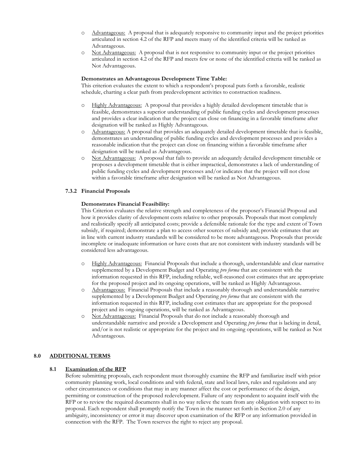- o Advantageous: A proposal that is adequately responsive to community input and the project priorities articulated in section 4.2 of the RFP and meets many of the identified criteria will be ranked as Advantageous.
- o Not Advantageous: A proposal that is not responsive to community input or the project priorities articulated in section 4.2 of the RFP and meets few or none of the identified criteria will be ranked as Not Advantageous.

#### **Demonstrates an Advantageous Development Time Table:**

This criterion evaluates the extent to which a respondent's proposal puts forth a favorable, realistic schedule, charting a clear path from predevelopment activities to construction readiness.

- o Highly Advantageous: A proposal that provides a highly detailed development timetable that is feasible, demonstrates a superior understanding of public funding cycles and development processes and provides a clear indication that the project can close on financing in a favorable timeframe after designation will be ranked as Highly Advantageous.
- o Advantageous: A proposal that provides an adequately detailed development timetable that is feasible, demonstrates an understanding of public funding cycles and development processes and provides a reasonable indication that the project can close on financing within a favorable timeframe after designation will be ranked as Advantageous.
- o Not Advantageous: A proposal that fails to provide an adequately detailed development timetable or proposes a development timetable that is either impractical, demonstrates a lack of understanding of public funding cycles and development processes and/or indicates that the project will not close within a favorable timeframe after designation will be ranked as Not Advantageous.

#### **7.3.2 Financial Proposals**

#### **Demonstrates Financial Feasibility:**

This Criterion evaluates the relative strength and completeness of the proposer's Financial Proposal and how it provides clarity of development costs relative to other proposals. Proposals that most completely and realistically specify all anticipated costs; provide a defensible rationale for the type and extent of Town subsidy, if required; demonstrate a plan to access other sources of subsidy and; provide estimates that are in line with current industry standards will be considered to be more advantageous. Proposals that provide incomplete or inadequate information or have costs that are not consistent with industry standards will be considered less advantageous.

- o Highly Advantageous: Financial Proposals that include a thorough, understandable and clear narrative supplemented by a Development Budget and Operating *pro forma* that are consistent with the information requested in this RFP, including reliable, well-reasoned cost estimates that are appropriate for the proposed project and its ongoing operations, will be ranked as Highly Advantageous.
- o Advantageous: Financial Proposals that include a reasonably thorough and understandable narrative supplemented by a Development Budget and Operating *pro forma* that are consistent with the information requested in this RFP, including cost estimates that are appropriate for the proposed project and its ongoing operations, will be ranked as Advantageous.
- o Not Advantageous: Financial Proposals that do not include a reasonably thorough and understandable narrative and provide a Development and Operating *pro forma* that is lacking in detail, and/or is not realistic or appropriate for the project and its ongoing operations, will be ranked as Not Advantageous.

#### **8.0 ADDITIONAL TERMS**

#### **8.1 Examination of the RFP**

Before submitting proposals, each respondent must thoroughly examine the RFP and familiarize itself with prior community planning work, local conditions and with federal, state and local laws, rules and regulations and any other circumstances or conditions that may in any manner affect the cost or performance of the design, permitting or construction of the proposed redevelopment. Failure of any respondent to acquaint itself with the RFP or to review the required documents shall in no way relieve the team from any obligation with respect to its proposal. Each respondent shall promptly notify the Town in the manner set forth in Section 2.0 of any ambiguity, inconsistency or error it may discover upon examination of the RFP or any information provided in connection with the RFP.The Town reserves the right to reject any proposal.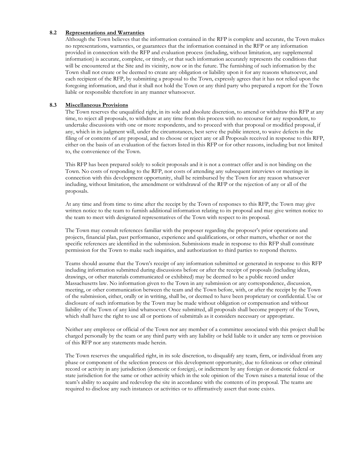#### **8.2 Representations and Warranties**

Although the Town believes that the information contained in the RFP is complete and accurate, the Town makes no representations, warranties, or guarantees that the information contained in the RFP or any information provided in connection with the RFP and evaluation process (including, without limitation, any supplemental information) is accurate, complete, or timely, or that such information accurately represents the conditions that will be encountered at the Site and its vicinity, now or in the future. The furnishing of such information by the Town shall not create or be deemed to create any obligation or liability upon it for any reasons whatsoever, and each recipient of the RFP, by submitting a proposal to the Town, expressly agrees that it has not relied upon the foregoing information, and that it shall not hold the Town or any third party who prepared a report for the Town liable or responsible therefore in any manner whatsoever.

#### **8.3 Miscellaneous Provisions**

The Town reserves the unqualified right, in its sole and absolute discretion, to amend or withdraw this RFP at any time, to reject all proposals, to withdraw at any time from this process with no recourse for any respondent, to undertake discussions with one or more respondents, and to proceed with that proposal or modified proposal, if any, which in its judgment will, under the circumstances, best serve the public interest, to waive defects in the filing of or contents of any proposal, and to choose or reject any or all Proposals received in response to this RFP, either on the basis of an evaluation of the factors listed in this RFP or for other reasons, including but not limited to, the convenience of the Town.

This RFP has been prepared solely to solicit proposals and it is not a contract offer and is not binding on the Town. No costs of responding to the RFP, nor costs of attending any subsequent interviews or meetings in connection with this development opportunity, shall be reimbursed by the Town for any reason whatsoever including, without limitation, the amendment or withdrawal of the RFP or the rejection of any or all of the proposals.

At any time and from time to time after the receipt by the Town of responses to this RFP, the Town may give written notice to the team to furnish additional information relating to its proposal and may give written notice to the team to meet with designated representatives of the Town with respect to its proposal.

The Town may consult references familiar with the proposer regarding the proposer's prior operations and projects, financial plan, past performance, experience and qualifications, or other matters, whether or not the specific references are identified in the submission. Submissions made in response to this RFP shall constitute permission for the Town to make such inquiries, and authorization to third parties to respond thereto.

Teams should assume that the Town's receipt of any information submitted or generated in response to this RFP including information submitted during discussions before or after the receipt of proposals (including ideas, drawings, or other materials communicated or exhibited) may be deemed to be a public record under Massachusetts law. No information given to the Town in any submission or any correspondence, discussion, meeting, or other communication between the team and the Town before, with, or after the receipt by the Town of the submission, either, orally or in writing, shall be, or deemed to have been proprietary or confidential. Use or disclosure of such information by the Town may be made without obligation or compensation and without liability of the Town of any kind whatsoever. Once submitted, all proposals shall become property of the Town, which shall have the right to use all or portions of submittals as it considers necessary or appropriate.

Neither any employee or official of the Town nor any member of a committee associated with this project shall be charged personally by the team or any third party with any liability or held liable to it under any term or provision of this RFP nor any statements made herein.

The Town reserves the unqualified right, in its sole discretion, to disqualify any team, firm, or individual from any phase or component of the selection process or this development opportunity, due to felonious or other criminal record or activity in any jurisdiction (domestic or foreign), or indictment by any foreign or domestic federal or state jurisdiction for the same or other activity which in the sole opinion of the Town raises a material issue of the team's ability to acquire and redevelop the site in accordance with the contents of its proposal. The teams are required to disclose any such instances or activities or to affirmatively assert that none exists.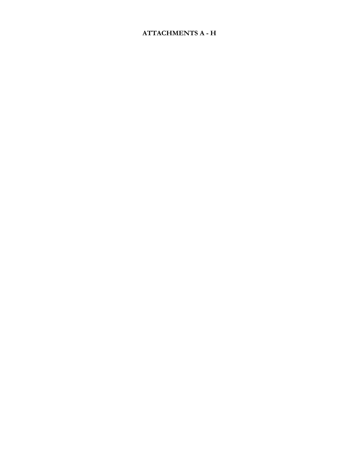# **ATTACHMENTS A - H**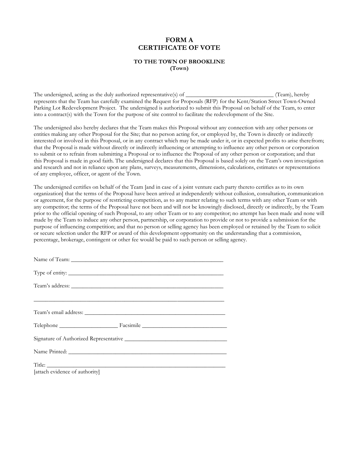# **FORM A CERTIFICATE OF VOTE**

#### **TO THE TOWN OF BROOKLINE (Town)**

The undersigned, acting as the duly authorized representative(s) of \_\_\_\_\_\_\_\_\_\_\_\_\_\_\_\_\_\_\_\_\_\_\_\_\_\_\_\_\_\_ (Team), hereby represents that the Team has carefully examined the Request for Proposals (RFP) for the Kent/Station Street Town-Owned Parking Lot Redevelopment Project. The undersigned is authorized to submit this Proposal on behalf of the Team, to enter into a contract(s) with the Town for the purpose of site control to facilitate the redevelopment of the Site.

The undersigned also hereby declares that the Team makes this Proposal without any connection with any other persons or entities making any other Proposal for the Site; that no person acting for, or employed by, the Town is directly or indirectly interested or involved in this Proposal, or in any contract which may be made under it, or in expected profits to arise therefrom; that the Proposal is made without directly or indirectly influencing or attempting to influence any other person or corporation to submit or to refrain from submitting a Proposal or to influence the Proposal of any other person or corporation; and that this Proposal is made in good faith. The undersigned declares that this Proposal is based solely on the Team's own investigation and research and not in reliance upon any plans, surveys, measurements, dimensions, calculations, estimates or representations of any employee, officer, or agent of the Town.

The undersigned certifies on behalf of the Team [and in case of a joint venture each party thereto certifies as to its own organization] that the terms of the Proposal have been arrived at independently without collusion, consultation, communication or agreement, for the purpose of restricting competition, as to any matter relating to such terms with any other Team or with any competitor; the terms of the Proposal have not been and will not be knowingly disclosed, directly or indirectly, by the Team prior to the official opening of such Proposal, to any other Team or to any competitor; no attempt has been made and none will made by the Team to induce any other person, partnership, or corporation to provide or not to provide a submission for the purpose of influencing competition; and that no person or selling agency has been employed or retained by the Team to solicit or secure selection under the RFP or award of this development opportunity on the understanding that a commission, percentage, brokerage, contingent or other fee would be paid to such person or selling agency.

| [attach evidence of authority] |  |
|--------------------------------|--|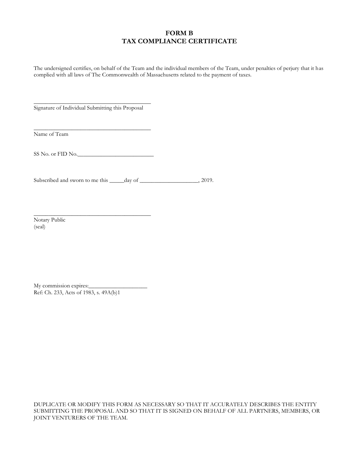# **FORM B TAX COMPLIANCE CERTIFICATE**

The undersigned certifies, on behalf of the Team and the individual members of the Team, under penalties of perjury that it has complied with all laws of The Commonwealth of Massachusetts related to the payment of taxes.

\_\_\_\_\_\_\_\_\_\_\_\_\_\_\_\_\_\_\_\_\_\_\_\_\_\_\_\_\_\_\_\_\_\_\_\_\_\_\_\_ Signature of Individual Submitting this Proposal

Name of Team

SS No. or FID No.\_\_\_\_\_\_\_\_\_\_\_\_\_\_\_\_\_\_\_\_\_\_\_\_\_\_

\_\_\_\_\_\_\_\_\_\_\_\_\_\_\_\_\_\_\_\_\_\_\_\_\_\_\_\_\_\_\_\_\_\_\_\_\_\_\_\_

\_\_\_\_\_\_\_\_\_\_\_\_\_\_\_\_\_\_\_\_\_\_\_\_\_\_\_\_\_\_\_\_\_\_\_\_\_\_\_\_

Subscribed and sworn to me this \_\_\_\_\_day of \_\_\_\_\_\_\_\_\_\_\_\_\_\_\_\_\_\_\_\_, 2019.

Notary Public (seal)

My commission expires: Ref: Ch. 233, Acts of 1983, s. 49A(b)1

DUPLICATE OR MODIFY THIS FORM AS NECESSARY SO THAT IT ACCURATELY DESCRIBES THE ENTITY SUBMITTING THE PROPOSAL AND SO THAT IT IS SIGNED ON BEHALF OF ALL PARTNERS, MEMBERS, OR JOINT VENTURERS OF THE TEAM.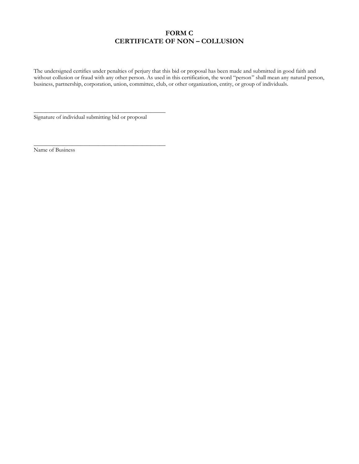# **FORM C CERTIFICATE OF NON – COLLUSION**

The undersigned certifies under penalties of perjury that this bid or proposal has been made and submitted in good faith and without collusion or fraud with any other person. As used in this certification, the word "person" shall mean any natural person, business, partnership, corporation, union, committee, club, or other organization, entity, or group of individuals.

Signature of individual submitting bid or proposal

\_\_\_\_\_\_\_\_\_\_\_\_\_\_\_\_\_\_\_\_\_\_\_\_\_\_\_\_\_\_\_\_\_\_\_\_\_\_\_\_\_\_\_\_\_

\_\_\_\_\_\_\_\_\_\_\_\_\_\_\_\_\_\_\_\_\_\_\_\_\_\_\_\_\_\_\_\_\_\_\_\_\_\_\_\_\_\_\_\_\_

Name of Business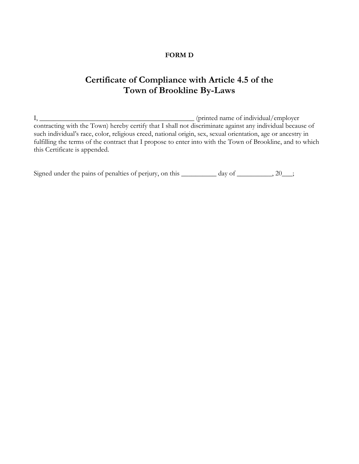# **FORM D**

# **Certificate of Compliance with Article 4.5 of the Town of Brookline By-Laws**

I, \_\_\_\_\_\_\_\_\_\_\_\_\_\_\_\_\_\_\_\_\_\_\_\_\_\_\_\_\_\_\_\_\_\_\_\_\_\_\_\_\_\_\_\_ (printed name of individual/employer contracting with the Town) hereby certify that I shall not discriminate against any individual because of such individual's race, color, religious creed, national origin, sex, sexual orientation, age or ancestry in fulfilling the terms of the contract that I propose to enter into with the Town of Brookline, and to which this Certificate is appended.

Signed under the pains of penalties of perjury, on this \_\_\_\_\_\_\_\_\_ day of \_\_\_\_\_\_\_\_, 20\_\_;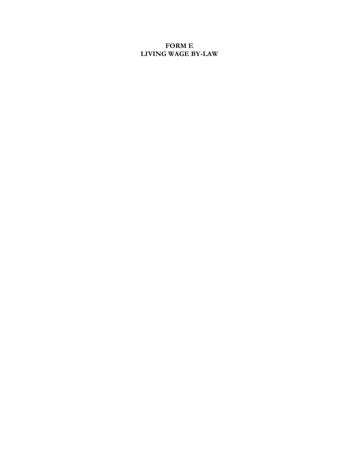# **FORM E LIVING WAGE BY-LAW**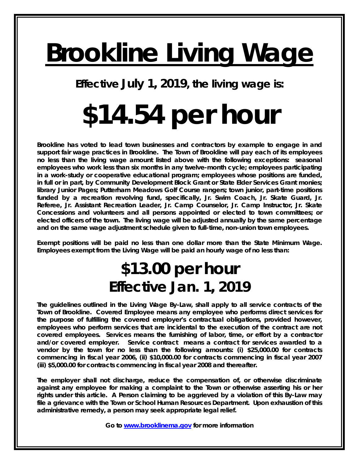# **Brookline Living Wage**

**Effective July 1, 2019, the living wage is:** 

# **\$14.54 per hour**

**Brookline has voted to lead town businesses and contractors by example to engage in and support fair wage practices in Brookline. The Town of Brookline will pay each of its employees no less than the living wage amount listed above with the following exceptions: seasonal employees who work less than six months in any twelve-month cycle; employees participating in a work-study or cooperative educational program; employees whose positions are funded, in full or in part, by Community Development Block Grant or State Elder Services Grant monies; library Junior Pages; Putterham Meadows Golf Course rangers; town junior, part-time positions**  funded by a recreation revolving fund, specifically, Jr. Swim Coach, Jr. Skate Guard, Jr. **Referee, Jr. Assistant Recreation Leader, Jr. Camp Counselor, Jr. Camp Instructor, Jr. Skate Concessions and volunteers and all persons appointed or elected to town committees; or elected officers of the town. The living wage will be adjusted annually by the same percentage and on the same wage adjustment schedule given to full-time, non-union town employees.** 

**Exempt positions will be paid no less than one dollar more than the State Minimum Wage. Employees exempt from the Living Wage will be paid an hourly wage of no less than:** 

# **\$13.00 per hour Effective Jan. 1, 2019**

**The guidelines outlined in the Living Wage By-Law, shall apply to all service contracts of the Town of Brookline.** *Covered Employee* **means any employee who performs direct services for the purpose of fulfilling the covered employer's contractual obligations, provided however, employees who perform services that are incidental to the execution of the contract are not covered employees.** *Services* **means the furnishing of labor, time, or effort by a contractor and/or covered employer.** *Service contract* **means a contract for services awarded to a vendor by the town for no less than the following amounts: (i) \$25,000.00 for contracts commencing in fiscal year 2006, (ii) \$10,000.00 for contracts commencing in fiscal year 2007 (iii) \$5,000.00 for contracts commencing in fiscal year 2008 and thereafter.** 

**The employer shall not discharge, reduce the compensation of, or otherwise discriminate against any employee for making a complaint to the Town or otherwise asserting his or her rights under this article. A Person claiming to be aggrieved by a violation of this By-Law may file a grievance with the Town or School Human Resources Department. Upon exhaustion of this administrative remedy, a person may seek appropriate legal relief.** 

**Go to www.brooklinema.gov for more information**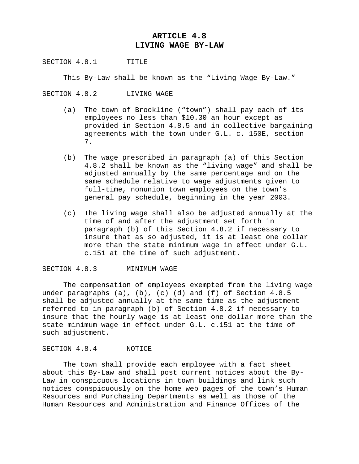# **ARTICLE 4.8 LIVING WAGE BY-LAW**

SECTION 4.8.1 TITLE

This By-Law shall be known as the "Living Wage By-Law."

SECTION 4.8.2 LIVING WAGE

- (a) The town of Brookline ("town") shall pay each of its employees no less than \$10.30 an hour except as provided in Section 4.8.5 and in collective bargaining agreements with the town under G.L. c. 150E, section 7.
- (b) The wage prescribed in paragraph (a) of this Section 4.8.2 shall be known as the "living wage" and shall be adjusted annually by the same percentage and on the same schedule relative to wage adjustments given to full-time, nonunion town employees on the town's general pay schedule, beginning in the year 2003.
- (c) The living wage shall also be adjusted annually at the time of and after the adjustment set forth in paragraph (b) of this Section 4.8.2 if necessary to insure that as so adjusted, it is at least one dollar more than the state minimum wage in effect under G.L. c.151 at the time of such adjustment.

#### SECTION 4.8.3 MINIMUM WAGE

 The compensation of employees exempted from the living wage under paragraphs (a), (b), (c) (d) and (f) of Section 4.8.5 shall be adjusted annually at the same time as the adjustment referred to in paragraph (b) of Section 4.8.2 if necessary to insure that the hourly wage is at least one dollar more than the state minimum wage in effect under G.L. c.151 at the time of such adjustment.

#### SECTION 4.8.4 NOTICE

 The town shall provide each employee with a fact sheet about this By-Law and shall post current notices about the By-Law in conspicuous locations in town buildings and link such notices conspicuously on the home web pages of the town's Human Resources and Purchasing Departments as well as those of the Human Resources and Administration and Finance Offices of the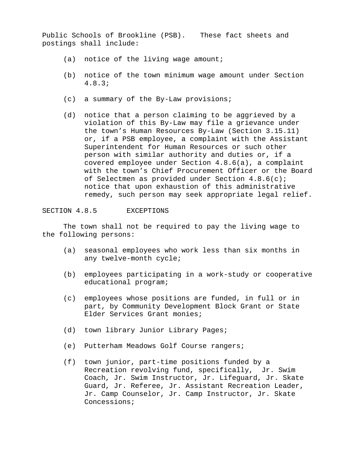Public Schools of Brookline (PSB). These fact sheets and postings shall include:

- (a) notice of the living wage amount;
- (b) notice of the town minimum wage amount under Section 4.8.3;
- (c) a summary of the By-Law provisions;
- (d) notice that a person claiming to be aggrieved by a violation of this By-Law may file a grievance under the town's Human Resources By-Law (Section 3.15.11) or, if a PSB employee, a complaint with the Assistant Superintendent for Human Resources or such other person with similar authority and duties or, if a covered employee under Section 4.8.6(a), a complaint with the town's Chief Procurement Officer or the Board of Selectmen as provided under Section 4.8.6(c); notice that upon exhaustion of this administrative remedy, such person may seek appropriate legal relief.

SECTION 4.8.5 EXCEPTIONS

 The town shall not be required to pay the living wage to the following persons:

- (a) seasonal employees who work less than six months in any twelve-month cycle;
- (b) employees participating in a work-study or cooperative educational program;
- (c) employees whose positions are funded, in full or in part, by Community Development Block Grant or State Elder Services Grant monies;
- (d) town library Junior Library Pages;
- (e) Putterham Meadows Golf Course rangers;
- (f) town junior, part-time positions funded by a Recreation revolving fund, specifically, Jr. Swim Coach, Jr. Swim Instructor, Jr. Lifeguard, Jr. Skate Guard, Jr. Referee, Jr. Assistant Recreation Leader, Jr. Camp Counselor, Jr. Camp Instructor, Jr. Skate Concessions;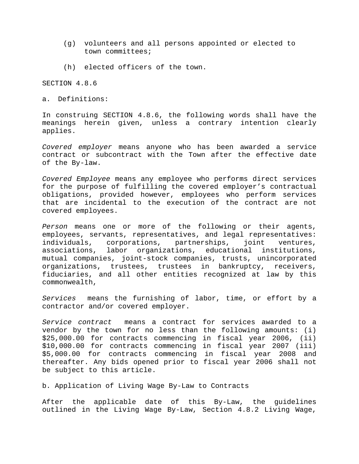- (g) volunteers and all persons appointed or elected to town committees;
- (h) elected officers of the town.

SECTION 4.8.6

a. Definitions:

In construing SECTION 4.8.6, the following words shall have the meanings herein given, unless a contrary intention clearly applies.

*Covered employer* means anyone who has been awarded a service contract or subcontract with the Town after the effective date of the By-law.

*Covered Employee* means any employee who performs direct services for the purpose of fulfilling the covered employer's contractual obligations, provided however, employees who perform services that are incidental to the execution of the contract are not covered employees.

*Person* means one or more of the following or their agents, employees, servants, representatives, and legal representatives: individuals, corporations, partnerships, joint ventures, associations, labor organizations, educational institutions, mutual companies, joint-stock companies, trusts, unincorporated organizations, trustees, trustees in bankruptcy, receivers, fiduciaries, and all other entities recognized at law by this commonwealth,

*Services* means the furnishing of labor, time, or effort by a contractor and/or covered employer.

*Service contract* means a contract for services awarded to a vendor by the town for no less than the following amounts: (i) \$25,000.00 for contracts commencing in fiscal year 2006, (ii) \$10,000.00 for contracts commencing in fiscal year 2007 (iii) \$5,000.00 for contracts commencing in fiscal year 2008 and thereafter. Any bids opened prior to fiscal year 2006 shall not be subject to this article.

b. Application of Living Wage By-Law to Contracts

After the applicable date of this By-Law, the guidelines outlined in the Living Wage By-Law, Section 4.8.2 Living Wage,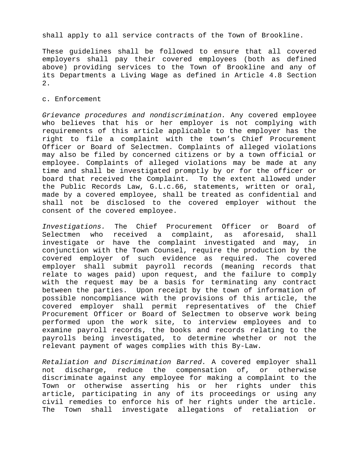shall apply to all service contracts of the Town of Brookline.

These guidelines shall be followed to ensure that all covered employers shall pay their covered employees (both as defined above) providing services to the Town of Brookline and any of its Departments a Living Wage as defined in Article 4.8 Section 2.

#### c. Enforcement

*Grievance procedures and nondiscrimination.* Any covered employee who believes that his or her employer is not complying with requirements of this article applicable to the employer has the right to file a complaint with the town's Chief Procurement Officer or Board of Selectmen. Complaints of alleged violations may also be filed by concerned citizens or by a town official or employee. Complaints of alleged violations may be made at any time and shall be investigated promptly by or for the officer or board that received the Complaint. To the extent allowed under the Public Records Law, G.L.c.66, statements, written or oral, made by a covered employee, shall be treated as confidential and shall not be disclosed to the covered employer without the consent of the covered employee.

*Investigations.* The Chief Procurement Officer or Board of Selectmen who received a complaint, as aforesaid, shall investigate or have the complaint investigated and may, in conjunction with the Town Counsel, require the production by the covered employer of such evidence as required. The covered employer shall submit payroll records (meaning records that relate to wages paid) upon request, and the failure to comply with the request may be a basis for terminating any contract between the parties. Upon receipt by the town of information of possible noncompliance with the provisions of this article, the covered employer shall permit representatives of the Chief Procurement Officer or Board of Selectmen to observe work being performed upon the work site, to interview employees and to examine payroll records, the books and records relating to the payrolls being investigated, to determine whether or not the relevant payment of wages complies with this By-Law.

*Retaliation and Discrimination Barred.* A covered employer shall not discharge, reduce the compensation of, or otherwise discriminate against any employee for making a complaint to the Town or otherwise asserting his or her rights under this article, participating in any of its proceedings or using any civil remedies to enforce his of her rights under the article. The Town shall investigate allegations of retaliation or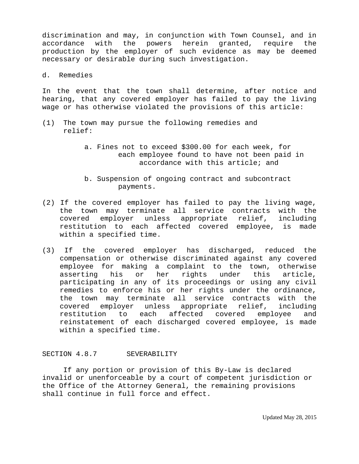discrimination and may, in conjunction with Town Counsel, and in accordance with the powers herein granted, require the production by the employer of such evidence as may be deemed necessary or desirable during such investigation.

#### d. Remedies

In the event that the town shall determine, after notice and hearing, that any covered employer has failed to pay the living wage or has otherwise violated the provisions of this article:

- (1) The town may pursue the following remedies and relief:
	- a. Fines not to exceed \$300.00 for each week, for each employee found to have not been paid in accordance with this article; and
	- b. Suspension of ongoing contract and subcontract payments.
- (2) If the covered employer has failed to pay the living wage, the town may terminate all service contracts with the covered employer unless appropriate relief, including restitution to each affected covered employee, is made within a specified time.
- (3) If the covered employer has discharged, reduced the compensation or otherwise discriminated against any covered employee for making a complaint to the town, otherwise asserting his or her rights under this article, participating in any of its proceedings or using any civil remedies to enforce his or her rights under the ordinance, the town may terminate all service contracts with the covered employer unless appropriate relief, including restitution to each affected covered employee and reinstatement of each discharged covered employee, is made within a specified time.

#### SECTION 4.8.7 SEVERABILITY

 If any portion or provision of this By-Law is declared invalid or unenforceable by a court of competent jurisdiction or the Office of the Attorney General, the remaining provisions shall continue in full force and effect.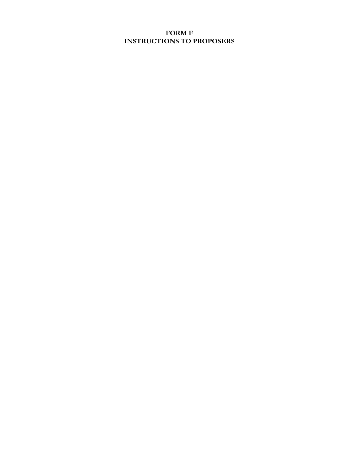# **FORM F INSTRUCTIONS TO PROPOSERS**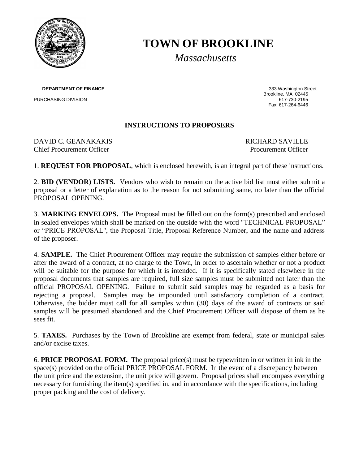

# **TOWN OF BROOKLINE**

*Massachusetts*

**DEPARTMENT OF FINANCE 333 Washington Street** 

PURCHASING DIVISION

Brookline, MA 02445<br>617-730-2195 Fax: 617-264-6446

# **INSTRUCTIONS TO PROPOSERS**

DAVID C. GEANAKAKIS RICHARD SAVILLE Chief Procurement Officer **Procurement Officer** Procurement Officer

1. **REQUEST FOR PROPOSAL**, which is enclosed herewith, is an integral part of these instructions.

2. **BID (VENDOR) LISTS.** Vendors who wish to remain on the active bid list must either submit a proposal or a letter of explanation as to the reason for not submitting same, no later than the official PROPOSAL OPENING.

3. **MARKING ENVELOPS.** The Proposal must be filled out on the form(s) prescribed and enclosed in sealed envelopes which shall be marked on the outside with the word "TECHNICAL PROPOSAL" or "PRICE PROPOSAL", the Proposal Title, Proposal Reference Number, and the name and address of the proposer.

4. **SAMPLE.** The Chief Procurement Officer may require the submission of samples either before or after the award of a contract, at no charge to the Town, in order to ascertain whether or not a product will be suitable for the purpose for which it is intended. If it is specifically stated elsewhere in the proposal documents that samples are required, full size samples must be submitted not later than the official PROPOSAL OPENING. Failure to submit said samples may be regarded as a basis for rejecting a proposal. Samples may be impounded until satisfactory completion of a contract. Otherwise, the bidder must call for all samples within (30) days of the award of contracts or said samples will be presumed abandoned and the Chief Procurement Officer will dispose of them as he sees fit.

5. **TAXES.** Purchases by the Town of Brookline are exempt from federal, state or municipal sales and/or excise taxes.

6. **PRICE PROPOSAL FORM.** The proposal price(s) must be typewritten in or written in ink in the space(s) provided on the official PRICE PROPOSAL FORM. In the event of a discrepancy between the unit price and the extension, the unit price will govern. Proposal prices shall encompass everything necessary for furnishing the item(s) specified in, and in accordance with the specifications, including proper packing and the cost of delivery.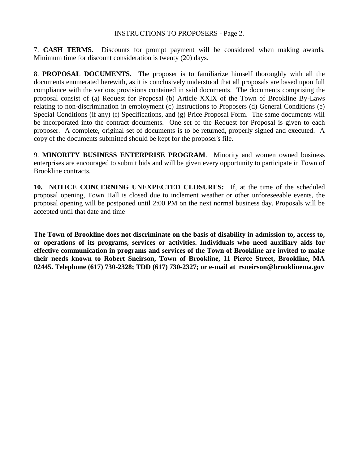# INSTRUCTIONS TO PROPOSERS - Page 2.

7. **CASH TERMS.** Discounts for prompt payment will be considered when making awards. Minimum time for discount consideration is twenty (20) days.

8. **PROPOSAL DOCUMENTS.** The proposer is to familiarize himself thoroughly with all the documents enumerated herewith, as it is conclusively understood that all proposals are based upon full compliance with the various provisions contained in said documents. The documents comprising the proposal consist of (a) Request for Proposal (b) Article XXIX of the Town of Brookline By-Laws relating to non-discrimination in employment (c) Instructions to Proposers (d) General Conditions (e) Special Conditions (if any) (f) Specifications, and (g) Price Proposal Form. The same documents will be incorporated into the contract documents. One set of the Request for Proposal is given to each proposer. A complete, original set of documents is to be returned, properly signed and executed. A copy of the documents submitted should be kept for the proposer's file.

9. **MINORITY BUSINESS ENTERPRISE PROGRAM**. Minority and women owned business enterprises are encouraged to submit bids and will be given every opportunity to participate in Town of Brookline contracts.

**10. NOTICE CONCERNING UNEXPECTED CLOSURES:** If, at the time of the scheduled proposal opening, Town Hall is closed due to inclement weather or other unforeseeable events, the proposal opening will be postponed until 2:00 PM on the next normal business day. Proposals will be accepted until that date and time

**The Town of Brookline does not discriminate on the basis of disability in admission to, access to, or operations of its programs, services or activities. Individuals who need auxiliary aids for effective communication in programs and services of the Town of Brookline are invited to make their needs known to Robert Sneirson, Town of Brookline, 11 Pierce Street, Brookline, MA 02445. Telephone (617) 730-2328; TDD (617) 730-2327; or e-mail at rsneirson@brooklinema.gov**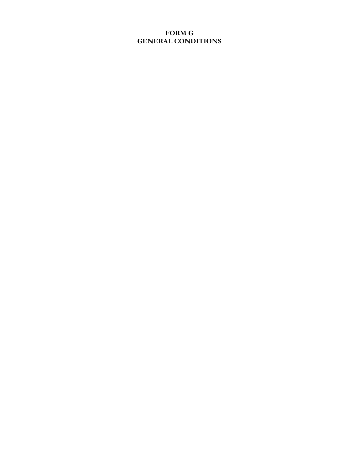# **FORM G GENERAL CONDITIONS**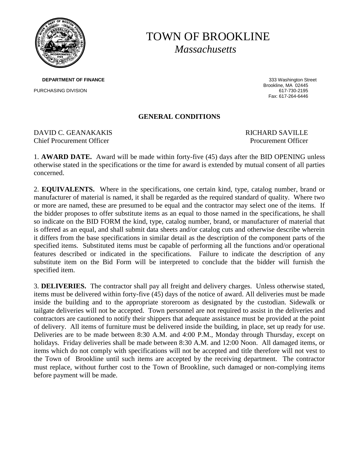

# TOWN OF BROOKLINE *Massachusetts*

**DEPARTMENT OF FINANCE 333 Washington Street** PURCHASING DIVISION

Brookline, MA 02445 Fax: 617-264-6446

# **GENERAL CONDITIONS**

DAVID C. GEANAKAKIS SAVILLE Chief Procurement Officer **Procurement Officer** Procurement Officer

1. **AWARD DATE.** Award will be made within forty-five (45) days after the BID OPENING unless otherwise stated in the specifications or the time for award is extended by mutual consent of all parties concerned.

2. **EQUIVALENTS.** Where in the specifications, one certain kind, type, catalog number, brand or manufacturer of material is named, it shall be regarded as the required standard of quality. Where two or more are named, these are presumed to be equal and the contractor may select one of the items. If the bidder proposes to offer substitute items as an equal to those named in the specifications, he shall so indicate on the BID FORM the kind, type, catalog number, brand, or manufacturer of material that is offered as an equal, and shall submit data sheets and/or catalog cuts and otherwise describe wherein it differs from the base specifications in similar detail as the description of the component parts of the specified items. Substituted items must be capable of performing all the functions and/or operational features described or indicated in the specifications. Failure to indicate the description of any substitute item on the Bid Form will be interpreted to conclude that the bidder will furnish the specified item.

3. **DELIVERIES.** The contractor shall pay all freight and delivery charges. Unless otherwise stated, items must be delivered within forty-five (45) days of the notice of award. All deliveries must be made inside the building and to the appropriate storeroom as designated by the custodian. Sidewalk or tailgate deliveries will not be accepted. Town personnel are not required to assist in the deliveries and contractors are cautioned to notify their shippers that adequate assistance must be provided at the point of delivery. All items of furniture must be delivered inside the building, in place, set up ready for use. Deliveries are to be made between 8:30 A.M. and 4:00 P.M., Monday through Thursday, except on holidays. Friday deliveries shall be made between 8:30 A.M. and 12:00 Noon. All damaged items, or items which do not comply with specifications will not be accepted and title therefore will not vest to the Town of Brookline until such items are accepted by the receiving department. The contractor must replace, without further cost to the Town of Brookline, such damaged or non-complying items before payment will be made.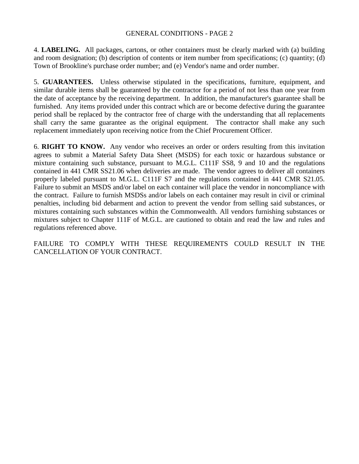# GENERAL CONDITIONS - PAGE 2

4. **LABELING.** All packages, cartons, or other containers must be clearly marked with (a) building and room designation; (b) description of contents or item number from specifications; (c) quantity; (d) Town of Brookline's purchase order number; and (e) Vendor's name and order number.

5. **GUARANTEES.** Unless otherwise stipulated in the specifications, furniture, equipment, and similar durable items shall be guaranteed by the contractor for a period of not less than one year from the date of acceptance by the receiving department. In addition, the manufacturer's guarantee shall be furnished. Any items provided under this contract which are or become defective during the guarantee period shall be replaced by the contractor free of charge with the understanding that all replacements shall carry the same guarantee as the original equipment. The contractor shall make any such replacement immediately upon receiving notice from the Chief Procurement Officer.

6. **RIGHT TO KNOW.** Any vendor who receives an order or orders resulting from this invitation agrees to submit a Material Safety Data Sheet (MSDS) for each toxic or hazardous substance or mixture containing such substance, pursuant to M.G.L. C111F SS8, 9 and 10 and the regulations contained in 441 CMR SS21.06 when deliveries are made. The vendor agrees to deliver all containers properly labeled pursuant to M.G.L. C111F S7 and the regulations contained in 441 CMR S21.05. Failure to submit an MSDS and/or label on each container will place the vendor in noncompliance with the contract. Failure to furnish MSDSs and/or labels on each container may result in civil or criminal penalties, including bid debarment and action to prevent the vendor from selling said substances, or mixtures containing such substances within the Commonwealth. All vendors furnishing substances or mixtures subject to Chapter 111F of M.G.L. are cautioned to obtain and read the law and rules and regulations referenced above.

FAILURE TO COMPLY WITH THESE REQUIREMENTS COULD RESULT IN THE CANCELLATION OF YOUR CONTRACT.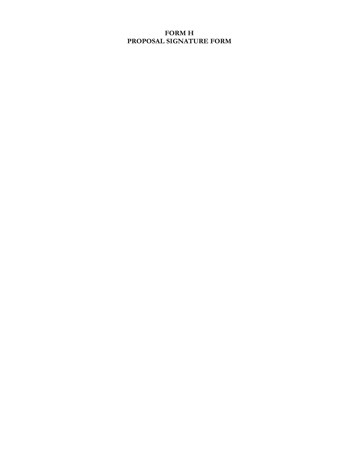# **FORM H PROPOSAL SIGNATURE FORM**